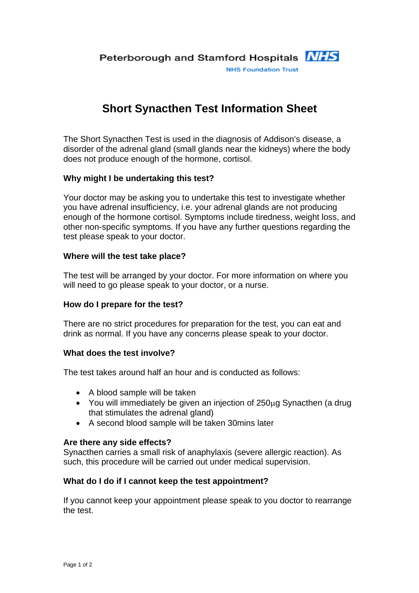# **Short Synacthen Test Information Sheet**

The Short Synacthen Test is used in the diagnosis of Addison's disease, a disorder of the adrenal gland (small glands near the kidneys) where the body does not produce enough of the hormone, cortisol.

## **Why might I be undertaking this test?**

Your doctor may be asking you to undertake this test to investigate whether you have adrenal insufficiency, i.e. your adrenal glands are not producing enough of the hormone cortisol. Symptoms include tiredness, weight loss, and other non-specific symptoms. If you have any further questions regarding the test please speak to your doctor.

### **Where will the test take place?**

The test will be arranged by your doctor. For more information on where you will need to go please speak to your doctor, or a nurse.

#### **How do I prepare for the test?**

There are no strict procedures for preparation for the test, you can eat and drink as normal. If you have any concerns please speak to your doctor.

#### **What does the test involve?**

The test takes around half an hour and is conducted as follows:

- A blood sample will be taken
- You will immediately be given an injection of 250μg Synacthen (a drug that stimulates the adrenal gland)
- A second blood sample will be taken 30mins later

#### **Are there any side effects?**

Synacthen carries a small risk of anaphylaxis (severe allergic reaction). As such, this procedure will be carried out under medical supervision.

## **What do I do if I cannot keep the test appointment?**

If you cannot keep your appointment please speak to you doctor to rearrange the test.